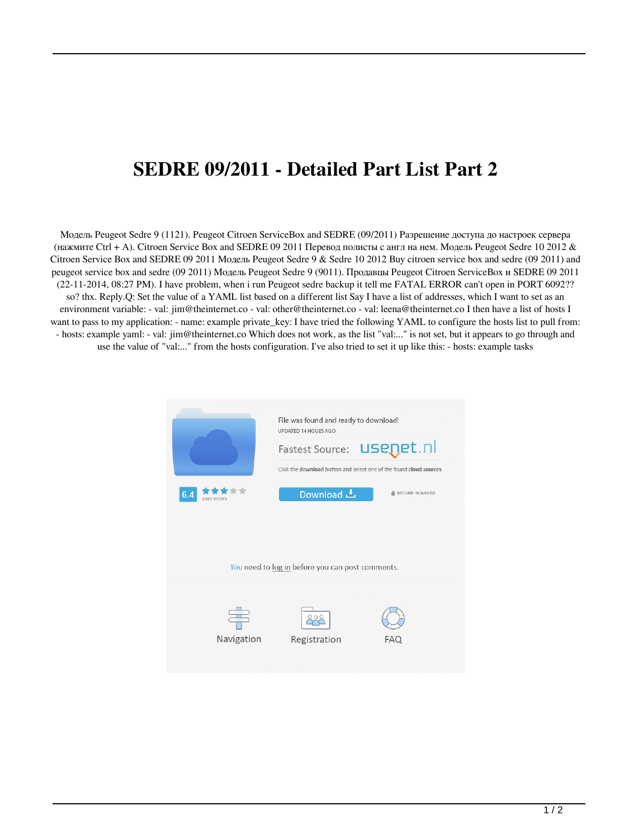## **SEDRE 09/2011 - Detailed Part List Part 2**

Модель Peugeot Sedre 9 (1121). Peugeot Citroen ServiceBox and SEDRE (09/2011) Разрешение доступа до настроек сервера (нажмите Ctrl + A). Citroen Service Box and SEDRE 09 2011 Перевод полисты с англ на нем. Модель Peugeot Sedre 10 2012 & Citroen Service Box and SEDRE 09 2011 Модель Peugeot Sedre 9 & Sedre 10 2012 Buy citroen service box and sedre (09 2011) and peugeot service box and sedre (09 2011) Модель Peugeot Sedre 9 (9011). Продавцы Peugeot Citroen ServiceBox и SEDRE 09 2011 (22-11-2014, 08:27 PM). I have problem, when i run Peugeot sedre backup it tell me FATAL ERROR can't open in PORT 6092?? so? thx. Reply.Q: Set the value of a YAML list based on a different list Say I have a list of addresses, which I want to set as an environment variable: - val: jim@theinternet.co - val: other@theinternet.co - val: leena@theinternet.co I then have a list of hosts I want to pass to my application: - name: example private\_key: I have tried the following YAML to configure the hosts list to pull from: - hosts: example yaml: - val: jim@theinternet.co Which does not work, as the list "val:..." is not set, but it appears to go through and use the value of "val:..." from the hosts configuration. I've also tried to set it up like this: - hosts: example tasks